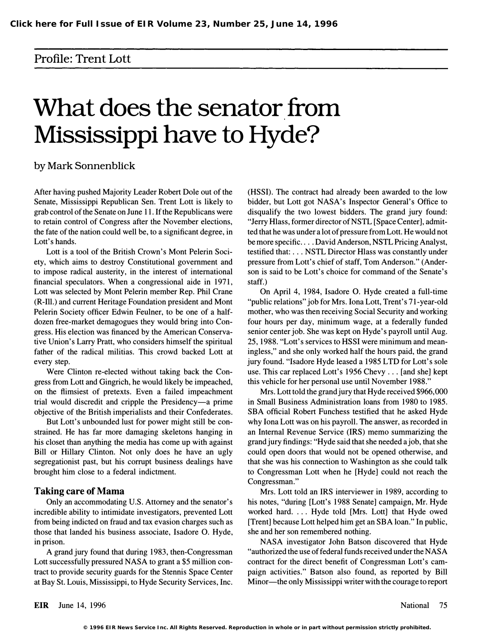## Profile: Trent Lott

# What does the senator from Mississippi have to Hyde?

### by Mark Sonnenblick

After having pushed Majority Leader Robert Dole out of the Senate, Mississippi Republican Sen. Trent Lott is likely to grab control of the Senate on June 11. If the Republicans were to retain control of Congress after the November elections, the fate of the nation could well be, to a significant degree, in Lott's hands.

Lott is a tool of the British Crown's Mont Pelerin Society, which aims to destroy Constitutional government and to impose radical austerity, in the interest of international financial speculators. When a congressional aide in 1971, Lott was selected by Mont Pelerin member Rep. Phil Crane (R-Ill.) and current Heritage Foundation president and Mont Pelerin Society officer Edwin Feulner, to be one of a halfdozen free-market demagogues they would bring into Congress. His election was financed by the American Conservative Union's Larry Pratt, who considers himself the spiritual father of the radical militias. This crowd backed Lott at every step.

Were Clinton re-elected without taking back the Congress from Lott and Gingrich, he would likely be impeached, on the flimsiest of pretexts. Even a failed impeachment trial would discredit and cripple the Presidency-a prime objective of the British imperialists and their Confederates.

But Lott's unbounded lust for power might still be constrained. He has far more damaging skeletons hanging in his closet than anything the media has come up with against Bill or Hillary Clinton. Not only does he have an ugly segregationist past, but his corrupt business dealings have brought him close to a federal indictment.

#### Taking care of Mama

Only an accommodating U.S. Attorney and the senator's incredible ability to intimidate investigators, prevented Lott from being indicted on fraud and tax evasion charges such as those that landed his business associate, Isadore O. Hyde, in prison.

A grand jury found that during 1983, then-Congressman Lott successfully pressured NASA to grant a \$5 million contract to provide security guards for the Stennis Space Center at Bay St. Louis, Mississippi, to Hyde Security Services, Inc. (HSSI). The contract had already been awarded to the low bidder, but Lott got NASA's Inspector General's Office to disqualify the two lowest bidders. The grand jury found: "Jerry Hlass, former director of NSTL [Space Center], admitted that he was under a lot of pressure from Lott. He would not be more specific .... David Anderson, NSTL Pricing Analyst, testified that: ... NSTL Director Hlass was constantly under pressure from Lott's chief of staff, Tom Anderson." (Anderson is said to be Lott's choice for command of the Senate's staff.)

On April 4, 1984, Isadore O. Hyde created a full-time "public relations" job for Mrs. Iona Lott, Trent's 71-year-old mother, who was then receiving Social Security and working four hours per day, minimum wage, at a federally funded senior center job. She was kept on Hyde's payroll until Aug. 25, 1988. "Lott's services to HSSI were minimum and meaningless," and she only worked half the hours paid, the grand jury found. "Isadore Hyde leased a 1985 LTD for Lott' s sole use. This car replaced Lott's 1956 Chevy ... [and she] kept this vehicle for her personal use until November 1988."

Mrs. Lott told the grand jury that Hyde received \$966,000 in Small Business Administration loans from 1980 to 1985. SBA official Robert Funchess testified that he asked Hyde why lona Lott was on his payroll. The answer, as recorded in an Internal Revenue Service (IRS) memo summarizing the grand jury findings: "Hyde said that she needed a job, that she could open doors that would not be opened otherwise, and that she was his connection to Washington as she could talk to Congressman Lott when he [Hyde] could not reach the Congressman."

Mrs. Lott told an IRS interviewer in 1989, according to his notes, "during [Lott's 1988 Senate] campaign, Mr. Hyde worked hard. ... Hyde told [Mrs. Lott] that Hyde owed [Trent] because Lott helped him get an SBA loan." In public, she and her son remembered nothing.

NASA investigator John Batson discovered that Hyde "authorized the use of federal funds received under the NASA contract for the direct benefit of Congressman Lott's campaign activities." Batson also found, as reported by Bill Minor—the only Mississippi writer with the courage to report